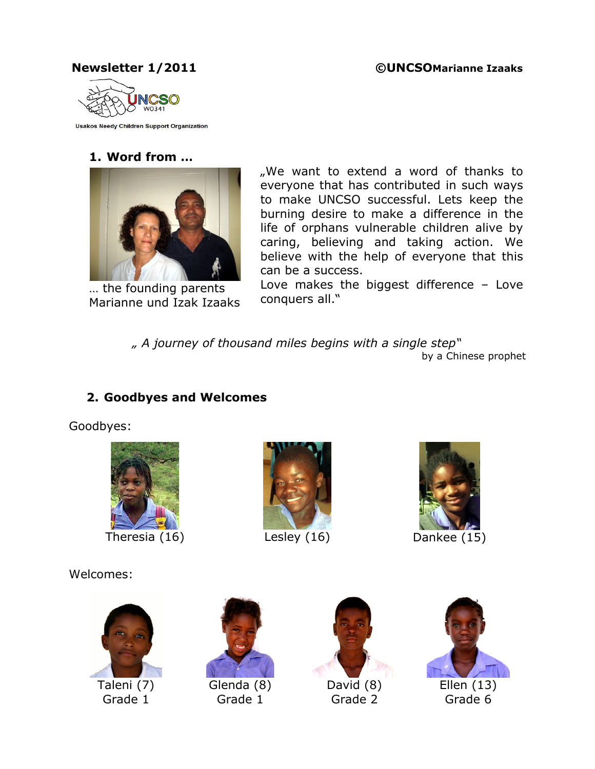#### **Newsletter 1/2011 ©UNCSOMarianne Izaaks**



**Usakos Needy Children Support Organization** 

#### **1. Word from …**



… the founding parents Marianne und Izak Izaaks

".We want to extend a word of thanks to everyone that has contributed in such ways to make UNCSO successful. Lets keep the burning desire to make a difference in the life of orphans vulnerable children alive by caring, believing and taking action. We believe with the help of everyone that this can be a success.

Love makes the biggest difference – Love conquers all."

*" A journey of thousand miles begins with a single step"* by a Chinese prophet

# **2. Goodbyes and Welcomes**

Goodbyes:



Welcomes:





Grade 1



Grade 2



Ellen (13) Grade 6



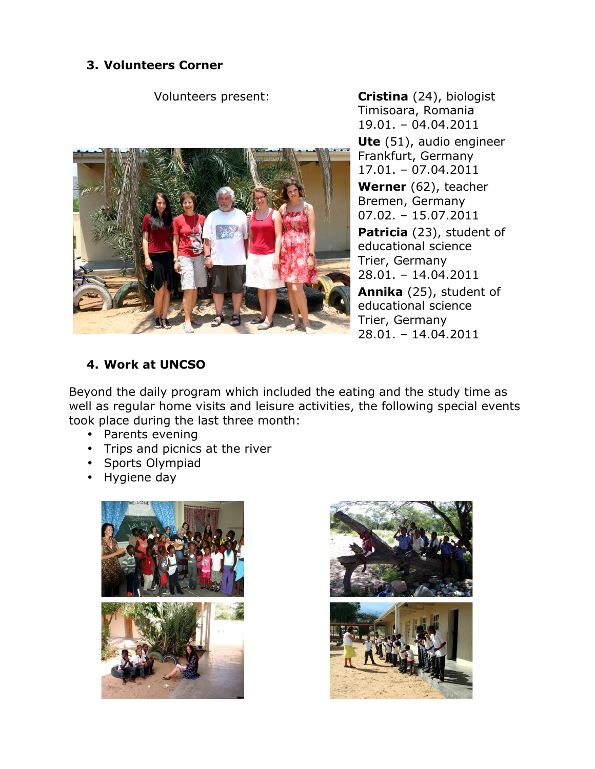#### **3. Volunteers Corner**

Volunteers present: **Cristina** (24), biologist



Timisoara, Romania 19.01. – 04.04.2011 **Ute** (51), audio engineer Frankfurt, Germany 17.01. – 07.04.2011 **Werner** (62), teacher Bremen, Germany 07.02. – 15.07.2011 **Patricia** (23), student of educational science Trier, Germany 28.01. – 14.04.2011 **Annika** (25), student of educational science Trier, Germany

## **4. Work at UNCSO**

Beyond the daily program which included the eating and the study time as well as regular home visits and leisure activities, the following special events took place during the last three month:

- Parents evening
- Trips and picnics at the river
- Sports Olympiad
- Hygiene day



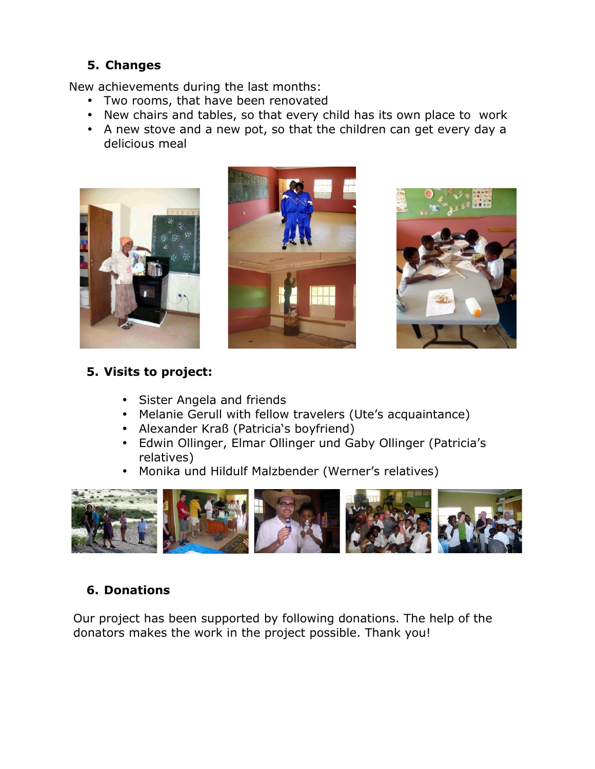#### **5. Changes**

New achievements during the last months:

- Two rooms, that have been renovated
- New chairs and tables, so that every child has its own place to work
- A new stove and a new pot, so that the children can get every day a delicious meal







#### **5. Visits to project:**

- Sister Angela and friends
- Melanie Gerull with fellow travelers (Ute's acquaintance)
- Alexander Kraß (Patricia's boyfriend)
- Edwin Ollinger, Elmar Ollinger und Gaby Ollinger (Patricia's relatives)
- Monika und Hildulf Malzbender (Werner's relatives)



## **6. Donations**

Our project has been supported by following donations. The help of the donators makes the work in the project possible. Thank you!